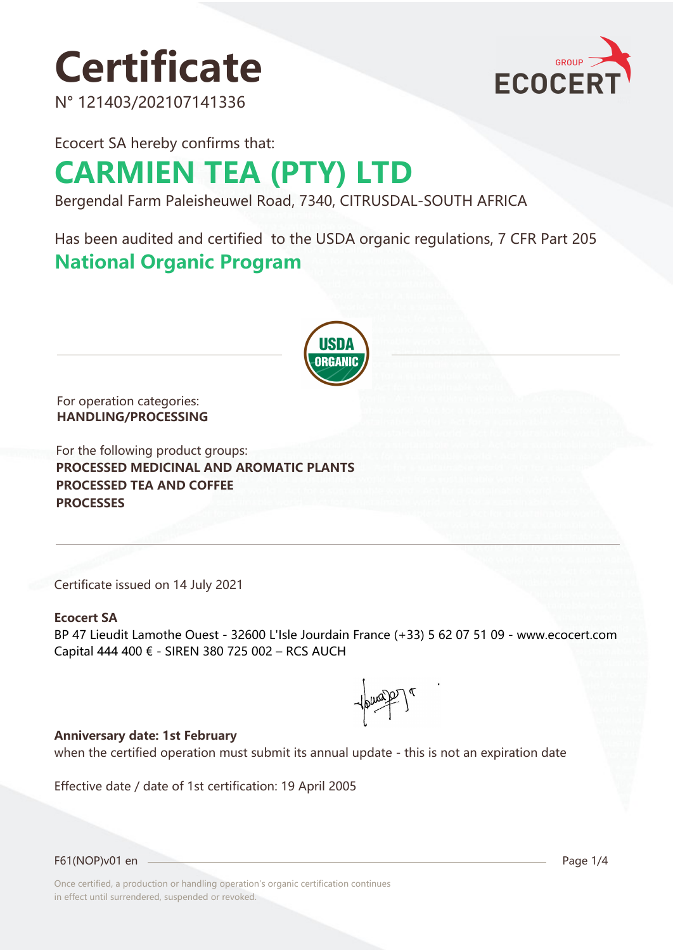# **Certificate**

N° 121403/202107141336



Ecocert SA hereby confirms that:

## **CARMIEN TEA (PTY) LTD**

Bergendal Farm Paleisheuwel Road, 7340, CITRUSDAL-SOUTH AFRICA

Has been audited and certified to the USDA organic regulations, 7 CFR Part 205 **National Organic Program** 



For operation categories: **HANDLING/PROCESSING**

For the following product groups: **PROCESSED MEDICINAL AND AROMATIC PLANTS PROCESSED TEA AND COFFEE PROCESSES**

Certificate issued on 14 July 2021

#### **Ecocert SA**

BP 47 Lieudit Lamothe Ouest - 32600 L'Isle Jourdain France (+33) 5 62 07 51 09 - www.ecocert.com Capital 444 400 € - SIREN 380 725 002 – RCS AUCH

 $\leftarrow \leftarrow \leftarrow \leftarrow \leftarrow \leftarrow$ 

#### **Anniversary date: 1st February**

when the certified operation must submit its annual update - this is not an expiration date

Effective date / date of 1st certification: 19 April 2005

F61(NOP)v01 en Page 1/4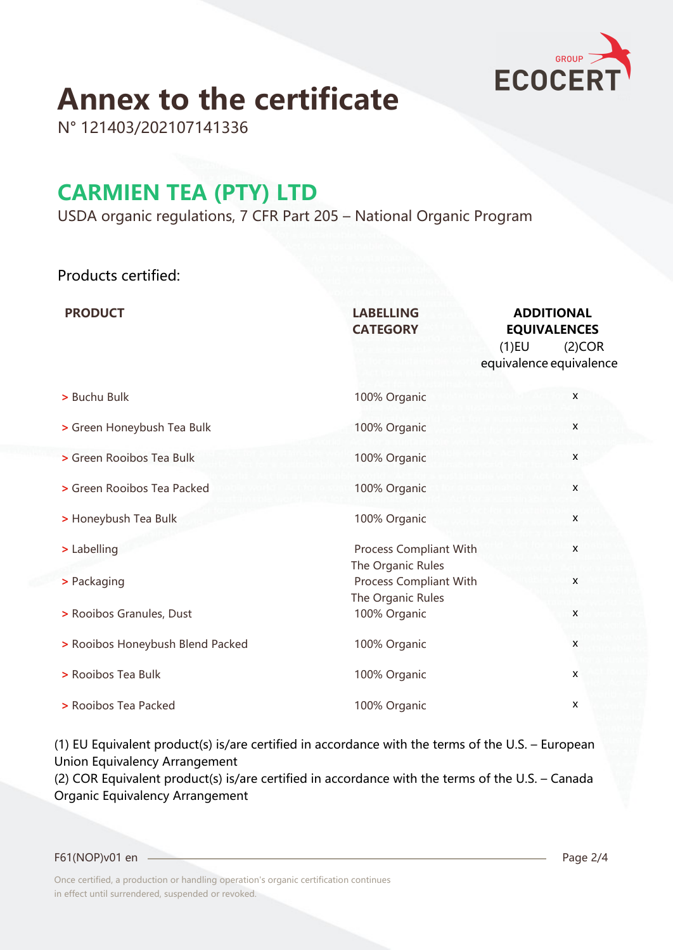

## **Annex to the certificate**

N° 121403/202107141336

### **CARMIEN TEA (PTY) LTD**

USDA organic regulations, 7 CFR Part 205 – National Organic Program

### Products certified:

| <b>PRODUCT</b>                   | <b>LABELLING</b><br><b>CATEGORY</b>                              | <b>ADDITIONAL</b><br><b>EQUIVALENCES</b><br>$(1)$ EU<br>(2)COR<br>equivalence equivalence |
|----------------------------------|------------------------------------------------------------------|-------------------------------------------------------------------------------------------|
| > Buchu Bulk                     | 100% Organic                                                     | $\mathsf{x}$                                                                              |
| > Green Honeybush Tea Bulk       | 100% Organic                                                     | X                                                                                         |
| > Green Rooibos Tea Bulk         | 100% Organic                                                     | X                                                                                         |
| > Green Rooibos Tea Packed       | 100% Organic                                                     | X                                                                                         |
| > Honeybush Tea Bulk             | 100% Organic                                                     | X                                                                                         |
| > Labelling                      | Process Compliant With                                           | X                                                                                         |
| > Packaging                      | The Organic Rules<br>Process Compliant With<br>The Organic Rules | X                                                                                         |
| > Rooibos Granules, Dust         | 100% Organic                                                     | X                                                                                         |
| > Rooibos Honeybush Blend Packed | 100% Organic                                                     | X                                                                                         |
| > Rooibos Tea Bulk               | 100% Organic                                                     | X                                                                                         |
| > Rooibos Tea Packed             | 100% Organic                                                     | $\pmb{\mathsf{X}}$                                                                        |

(1) EU Equivalent product(s) is/are certified in accordance with the terms of the U.S. – European Union Equivalency Arrangement

(2) COR Equivalent product(s) is/are certified in accordance with the terms of the U.S. – Canada Organic Equivalency Arrangement

F61(NOP)v01 en Page 2/4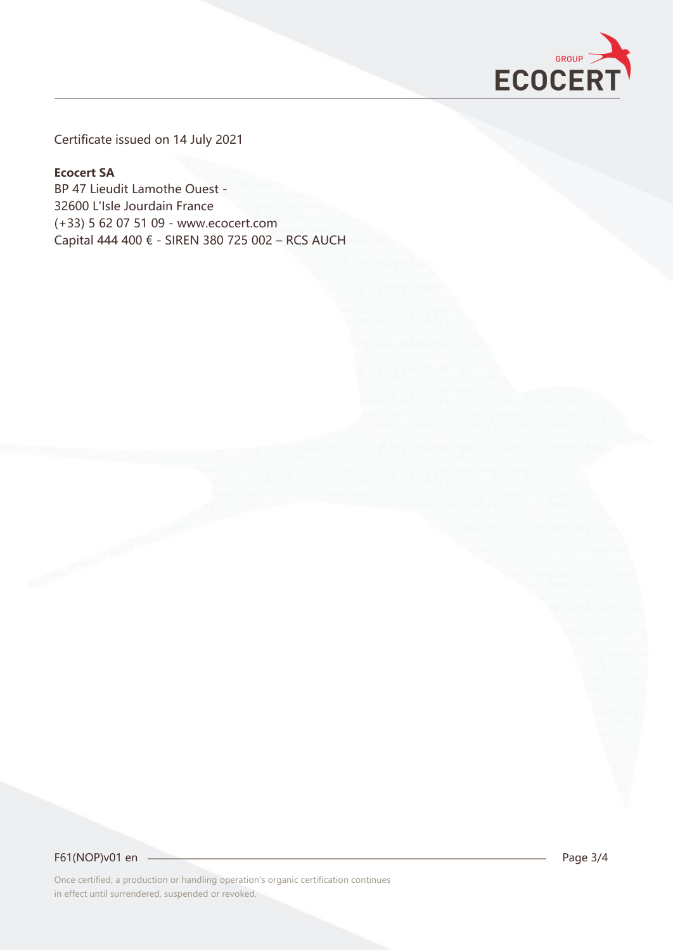

Certificate issued on 14 July 2021

#### **Ecocert SA**

BP 47 Lieudit Lamothe Ouest - 32600 L'Isle Jourdain France (+33) 5 62 07 51 09 - www.ecocert.com Capital 444 400 € - SIREN 380 725 002 – RCS AUCH

F61(NOP)v01 en 244